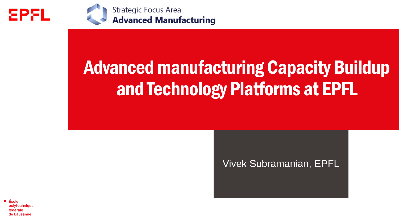

**Strategic Focus Area**<br>**Advanced Manufacturing** 

# Advanced manufacturing Capacity Buildup and Technology Platforms at EPFL

# Vivek Subramanian, EPFL

École polytechnique fédérale de Lausanne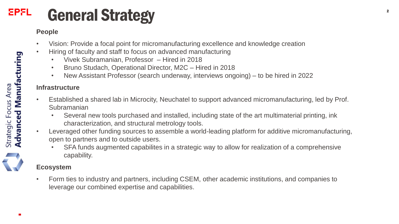## **EPFL** General Strategy <sup>2</sup>

## **People**

- Vision: Provide a focal point for micromanufacturing excellence and knowledge creation
- Hiring of faculty and staff to focus on advanced manufacturing
	- Vivek Subramanian, Professor Hired in 2018
	- Bruno Studach, Operational Director, M2C Hired in 2018
	- New Assistant Professor (search underway, interviews ongoing) to be hired in 2022

## **Infrastructure**

- Established a shared lab in Microcity, Neuchatel to support advanced micromanufacturing, led by Prof. **Subramanian** 
	- Several new tools purchased and installed, including state of the art multimaterial printing, ink characterization, and structural metrology tools.
- Leveraged other funding sources to assemble a world-leading platform for additive micromanufacturing, open to partners and to outside users.
	- SFA funds augmented capabilites in a strategic way to allow for realization of a comprehensive capability.

## **Ecosystem**

• Form ties to industry and partners, including CSEM, other academic institutions, and companies to leverage our combined expertise and capabilities.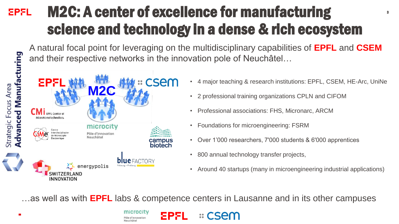# M2C: A center of excellence for manufacturing **EPFL** science and technology in a dense & rich ecosystem

A natural focal point for leveraging on the multidisciplinary capabilities of **EPFL** and **CSEM**  and their respective networks in the innovation pole of Neuchâtel…



• 4 major teaching & research institutions: EPFL, CSEM, HE-Arc, UniNe

3

- 2 professional training organizations CPLN and CIFOM
- Professional associations: FHS, Micronarc, ARCM
- Foundations for microengineering: FSRM
- Over 1'000 researchers, 7'000 students & 6'000 apprentices
- 800 annual technology transfer projects,
- Around 40 startups (many in microengineering industrial applications)

…as well as with **EPFL** labs & competence centers in Lausanne and in its other campuses

<u>:: CSAC</u>



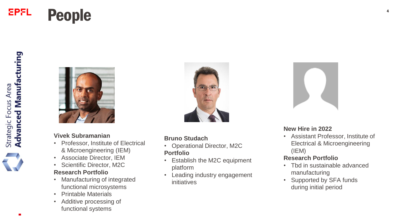## **EPFL People**



#### **Vivek Subramanian**

- Professor, Institute of Electrical & Microengineering (IEM)
- Associate Director, IEM
- Scientific Director, M2C **Research Portfolio**
- Manufacturing of integrated functional microsystems
- Printable Materials
- Additive processing of functional systems



#### **Bruno Studach**

- Operational Director, M2C **Portfolio**
- Establish the M2C equipment platform
- Leading industry engagement initiatives



#### **New Hire in 2022**

• Assistant Professor, Institute of Electrical & Microengineering (IEM)

### **Research Portfolio**

- Tbd in sustainable advanced manufacturing
- Supported by SFA funds during initial period